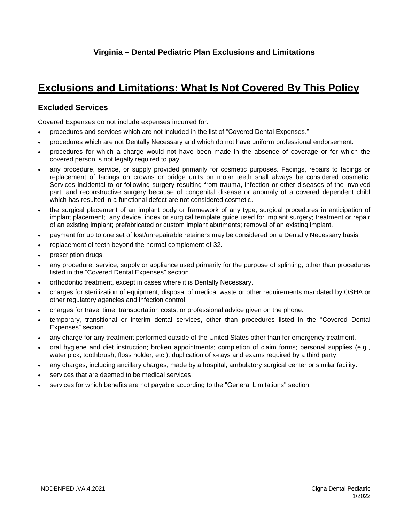## **Exclusions and Limitations: What Is Not Covered By This Policy**

## **Excluded Services**

Covered Expenses do not include expenses incurred for:

- procedures and services which are not included in the list of "Covered Dental Expenses."
- procedures which are not Dentally Necessary and which do not have uniform professional endorsement.
- procedures for which a charge would not have been made in the absence of coverage or for which the covered person is not legally required to pay.
- any procedure, service, or supply provided primarily for cosmetic purposes. Facings, repairs to facings or replacement of facings on crowns or bridge units on molar teeth shall always be considered cosmetic. Services incidental to or following surgery resulting from trauma, infection or other diseases of the involved part, and reconstructive surgery because of congenital disease or anomaly of a covered dependent child which has resulted in a functional defect are not considered cosmetic.
- the surgical placement of an implant body or framework of any type; surgical procedures in anticipation of implant placement; any device, index or surgical template guide used for implant surgery; treatment or repair of an existing implant; prefabricated or custom implant abutments; removal of an existing implant.
- payment for up to one set of lost/unrepairable retainers may be considered on a Dentally Necessary basis.
- replacement of teeth beyond the normal complement of 32.
- prescription drugs.
- any procedure, service, supply or appliance used primarily for the purpose of splinting, other than procedures listed in the "Covered Dental Expenses" section.
- orthodontic treatment, except in cases where it is Dentally Necessary.
- charges for sterilization of equipment, disposal of medical waste or other requirements mandated by OSHA or other regulatory agencies and infection control.
- charges for travel time; transportation costs; or professional advice given on the phone.
- temporary, transitional or interim dental services, other than procedures listed in the "Covered Dental Expenses" section.
- any charge for any treatment performed outside of the United States other than for emergency treatment.
- oral hygiene and diet instruction; broken appointments; completion of claim forms; personal supplies (e.g., water pick, toothbrush, floss holder, etc.); duplication of x-rays and exams required by a third party.
- any charges, including ancillary charges, made by a hospital, ambulatory surgical center or similar facility.
- services that are deemed to be medical services.
- services for which benefits are not payable according to the "General Limitations" section.